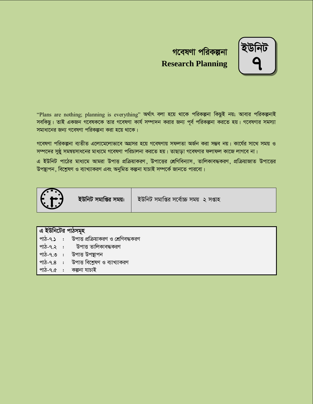



"Plans are nothing; planning is everything" অর্থাৎ বলা হয়ে থাকে পরিকল্পনা কিছুই নয়; আবার পরিকল্পনাই সবকিছু। তাই একজন গবেষককে তার গবেষণা কার্য সম্পাদন করার জন্য পূর্ব পরিকল্পনা করতে হয়। গবেষণার সমস্যা সমাধানের জন্য গবেষণা পরিকল্পনা করা হয়ে থাকে।

গবেষণা পরিকল্পনা ব্যতীত এলোমেলোভাবে অগ্রসর হয়ে গবেষণায় সফলতা অর্জন করা সম্ভব নয়। কার্যের সাথে সময় ও সম্পদের সুষ্ঠু সমন্বয়সাধনের মাধ্যমে গবেষণা পরিচালনা করতে হয়। তাছাড়া গবেষণার ফলাফল কাজে লাগবে না।

এ ইউনিট পাঠের মাধ্যমে আমরা উপাত্ত প্রক্রিয়াকরণ, উপাত্তের শ্রেণিবিন্যাস, তালিকাবদ্ধকরণ, প্রক্রিয়াজাত উপাত্তের উপন্থাপন, বিশ্লেষণ ও ব্যাখ্যাকরণ এবং অনুমিত কল্পনা যাচাই সম্পর্কে জানতে পারবো।



**ইউনিট সমাপ্তির সময়: | ইউনিট সমাপ্তির সর্বোচ্চ সময় ২ সপ্তাহ** 

| এ ইউনিটের পাঠসমূহ |                                                |  |
|-------------------|------------------------------------------------|--|
|                   | পাঠ-৭.১ : উপাত্ত প্রক্রিয়াকরণ ও শ্রেণিবদ্ধকরণ |  |
|                   | পাঠ-৭.২ : উপাত্ত তালিকাবদ্ধকরণ                 |  |
|                   | পাঠ-৭.৩ : উপাত্ত উপষ্থাপন                      |  |
|                   | পাঠ-৭.৪ : উপাত্ত বিশ্লেষণ ও ব্যাখ্যাকরণ        |  |
|                   | পাঠ-৭.৫ : কল্পনা যাচাই                         |  |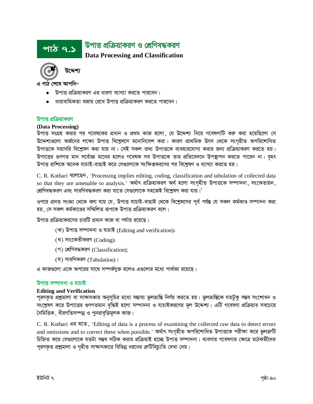



এ পাঠ শেষে আপনি–

- উপাত্ত প্রক্রিয়াকরণ এর ধারণা ব্যাখ্যা করতে পারবেন।
- ধারাবাহিকতা বজায় রেখে উপাত্ত প্রক্রিয়াকরণ করতে পারবেন।

### উপাত্ত প্রক্রিয়াকরণ

#### (Data Processing)

উপাত্ত সংগ্রহ করার পর গবেষকের প্রধান ও প্রথম কাজ হলো, যে উদ্দেশ্য নিয়ে গবেষণাটি শুরু করা হয়েছিলো সে উদ্দেশ্যগুলো অর্জনের লক্ষ্যে উপাত্ত বিশ্লেষণে মনোনিবেশ করা। কারণ প্রাথমিক উৎস থেকে সংগৃহীত অপরিশোধিত উপাত্তকে সরাসরি বিশ্লেষণ করা যায় না। সেই সকল তথ্য উপাত্তকে ব্যবহারযোগ্য করার জন্য প্রক্রিয়াকরণ করতে হয়। উপাত্তের গুণগত মান সর্বোচ্চ মানের হলেও গবেষক সব উপাত্তকে তার প্রতিবেদনে উপষ্যাপন করতে পারেন না। বহৎ উপাত্ত রাশিকে অনেক যাচাই-বাছাই করে সেগুলোকে সংক্ষিপ্তকরণের পর বিশ্লেষণ ও ব্যাখ্যা করতে হয়।

C. R. Kothari বলেছেন, 'Processing implies editing, coding, classification and tabulation of collected data so that they are amenable to analysis.' অৰ্থাৎ প্ৰক্ৰিয়াকরণ অৰ্থ হলো সংগৃহীত উপাত্তকে সম্পাদনা, সংকেতায়ন, শ্রেণিবদ্ধকরণ এবং সারণিবদ্ধকরণ করা যাতে সেগুলোকে সহজেই বিশ্লেষণ করা যায়।'

ওপরে প্রদত্ত সংজ্ঞা থেকে বলা যায় যে, উপাত্ত যাচাই-বাছাই থেকে বিশ্লেষণের পূর্ব পর্যন্ত যে সকল কর্মকাণ্ড সম্পাদন করা হয়, সে সকল কর্মকাণ্ডের সম্মিলিত রূপকে উপাত্ত প্রক্রিয়াকরণ বলে।

উপাত্ত প্রক্রিয়াকরণের চারটি প্রধান কাজ বা পর্যায় রয়েছে।

- (ক) উপাত্ত সম্পাদনা ও যাচাই (Editing and verification);
- (খ) সাংকেতীকরণ (Coding);
- (গ) শ্রেণিবদ্ধকরণ (Classification);
- $($ ঘ) সারণিকরণ (Tabulation) ।

এ কাজগুলো একে অপরের সাথে সম্পর্কযুক্ত হলেও এণ্ডলোর মধ্যে পার্থক্য রয়েছে।

#### উপাত্ত সম্পাদনা ও যাচাই

#### **Editing and Verification**

পূরণকৃত প্রশ্নমালা বা সাক্ষাৎকার অনুসূচির মধ্যে সম্ভাব্য ভুলভ্রান্তি নির্ণয় করতে হয়। ভুলভ্রান্তিকে যতটুকু সম্ভব সংশোধন ও সংশ্লেষণ করে উপাত্তের গুণগতমান বৃদ্ধিই হলো সম্পাদনা ও যাচাইকরণের মূল উদ্দেশ্য। এটি গবেষণা প্রক্রিয়ার সবচেয়ে নৈমিত্তিক, ধীরগতিসম্পন্ন ও পুনরাবৃত্তিমূলক কাজ।

C. R. Kothari এর মতে, 'Editing of data is a process of examining the collected raw data to detect errors and omissions and to correct these when possible.' অৰ্থাৎ সংগৃহীত অপরিশোধিত উপাত্তকে পরীক্ষা করে ভুলক্রটি চিহ্নিত করে সেগুলোকে যতটা সম্ভব সঠিক করার প্রক্রিয়াই হচ্ছে উপাত্ত সম্পাদনা। ব্যবসায় গবেষণার ক্ষেত্রে মাঠকর্মীদের পূরণকৃত প্রশ্নমালা ও গৃহীত সাক্ষাৎকারে বিভিন্ন ধরনের ক্রটিবিচ্যুতি দেখা দেয়।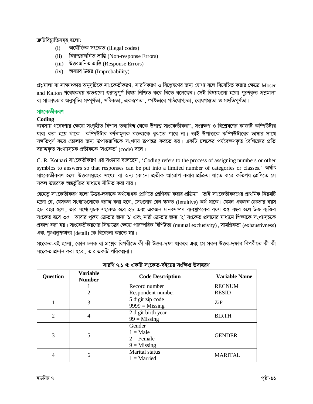ক্ৰটিবিচ্যুতিসমূহ হলো:

- অযৌক্তিক সংকেত (Illegal codes)  $(i)$
- $(i)$ নিরুত্তরজনিত ভ্রান্তি (Non-response Errors)
- (iii) উত্তরজনিত ভ্রান্তি (Response Errors)
- (iv) অসম্ভব উত্তর (Improbability)

প্রশ্নমালা বা সাক্ষাৎকার অনুসূচিকে সাংকেতীকরণ, সারণিকরণ ও বিশ্লেষণের জন্য যোগ্য বলে বিবেচিত করার ক্ষেত্রে Moser and Kalton গবেষকদ্বয় কতগুলো গুরুত্বপূর্ণ বিষয় নিশ্চিত করে নিতে বলেছেন। সেই বিষয়গুলো হলো পুরণকৃত প্রশ্নমালা বা সাক্ষাৎকার অনুসূচির সম্পূর্ণতা , সঠিকতা , একরূপতা , স্পষ্টভাবে পাঠযোগ্যতা , বোধগম্যতা ও সঙ্গতিপূর্ণতা।

## সাংকেতীকরণ

# Coding

ব্যবসায় গবেষণার ক্ষেত্রে সংগৃহীত বিশাল তথ্যবিশ্ব থেকে উপাত্ত সাংকেতীকরণ, সংরক্ষণ ও বিশ্লেষণের কাজটি কম্পিউটার দ্বারা করা হয়ে থাকে। কম্পিউটার বর্ণনামূলক বক্তব্যকে বুঝতে পারে না। তাই উপাত্তকে কম্পিউটারের ভাষার সাথে সঙ্গতিপূর্ণ করে তোলার জন্য উপাত্তরাশিকে সংখ্যায় রূপান্তর করতে হয়। একটি চলকের পর্যবেক্ষণকৃত বৈশিষ্ট্যের প্রতি বরাদ্দকৃত সংখ্যাসূচক প্রতীককে 'সংকেত' (code) বলে।

C. R. Kothari সাংকেতীকরণ এর সংজ্ঞায় বলেছেন, 'Coding refers to the process of assigning numbers or other symblos to answers so that responses can be put into a limited number of categories or classes.'  $\overline{M}$ সাংকেতীকরণ হলো উত্তরসমূহের সংখ্যা বা অন্য কোনো প্রতীক আরোপ করার প্রক্রিয়া যাতে করে কতিপয় শ্রেণিতে সে সকল উত্তরকে অন্তর্ভুক্তির মাধ্যমে সীমিত করা যায়।

যেহেতু সাংকেতীকরণ হলো উত্তর-দফাকে অর্থবোধক শ্রেণিতে শ্রেণিবদ্ধ করার প্রক্রিয়া। তাই সাংকেতীকরণের প্রাথমিক নিয়মটি হলো যে, যেসকল সংখ্যাগুলোকে বরাদ্দ করা হবে, সেগুলোর যেন শ্বজ্ঞত (Intuitive) অর্থ থাকে। যেমন একজন ক্রেতার বয়স ২৮ বছর হলে, তার সংখ্যাসূচক সংকেত হবে ২৮ এবং একজন মানবসম্পদ ব্যবস্থাপকের বয়স ৩৫ বছর হলে উক্ত ব্যক্তির সংকেত হবে ৩৫। আবার পুরুষ ক্রেতার জন্য '১' এবং নারী ক্রেতার জন্য '২' সংকেত প্রদানের মাধ্যমে শিক্ষাকে সংখ্যাসূচকে প্রকাশ করা হয়। সাংকেতীকরণের সিদ্ধান্তের ক্ষেত্রে পারস্পরিক বিশিষ্টতা (mutual exclusivity), সামগ্রিকতা (exhaustivness) এবং পুঙ্খানুপঙ্খতা (detail) কে বিবেচনা করতে হয়।

সংকেত-বই হলো ,কোন চলক বা প্রশ্নের বিপরীতে কী কী উত্তর-দফা থাকবে এবং সে সকল উত্তর-দফার বিপরীতে কী কী সংকেত প্রদান করা হবে, তার একটি পরিকল্পনা।

| <b>Question</b> | Variable<br><b>Number</b> | <b>Code Description</b>                               | <b>Variable Name</b> |
|-----------------|---------------------------|-------------------------------------------------------|----------------------|
|                 |                           | Record number                                         | <b>RECNUM</b>        |
|                 | 2                         | Respondent number                                     | <b>RESID</b>         |
|                 | 3                         | 5 digit zip code<br>$9999 =$ Missing                  | ZiP                  |
| $\overline{2}$  | 4                         | 2 digit birth year<br>$99$ = Missing                  | <b>BIRTH</b>         |
| 3               | 5                         | Gender<br>$1 = Male$<br>$2$ = Female<br>$9 =$ Missing | <b>GENDER</b>        |
| 4               | 6                         | Marital status<br>$1 =$ Married                       | <b>MARITAL</b>       |

| সারণি ৭.১ খ: একটি সংকেত-বইয়ের সংক্ষিপ্ত উদাহরণ |  |  |  |  |  |
|-------------------------------------------------|--|--|--|--|--|
|-------------------------------------------------|--|--|--|--|--|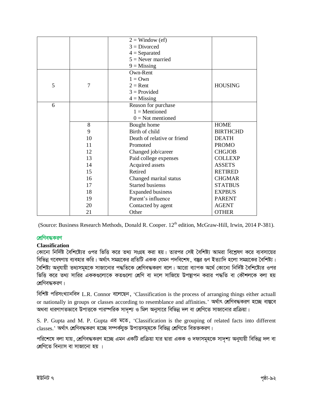|   |    | $2 =$ Window (ef)           |                 |
|---|----|-----------------------------|-----------------|
|   |    | $3 = Divored$               |                 |
|   |    | $4 =$ Separated             |                 |
|   |    | $5$ = Never married         |                 |
|   |    | $9 =$ Missing               |                 |
|   |    | Own-Rent                    |                 |
|   |    | $1 = Own$                   |                 |
| 5 | 7  | $2 =$ Rent                  | <b>HOUSING</b>  |
|   |    | $3 = Provided$              |                 |
|   |    | $4 =$ Missing               |                 |
| 6 |    | Reason for purchase         |                 |
|   |    | $1 =$ Mentioned             |                 |
|   |    | $0 = Not$ mentioned         |                 |
|   | 8  | Bought home                 | <b>HOME</b>     |
|   | 9  | Birth of child              | <b>BIRTHCHD</b> |
|   | 10 | Death of relative or friend | <b>DEATH</b>    |
|   | 11 | Promoted                    | <b>PROMO</b>    |
|   | 12 | Changed job/career          | <b>CHGJOB</b>   |
|   | 13 | Paid college expenses       | <b>COLLEXP</b>  |
|   | 14 | Acquired assets             | <b>ASSETS</b>   |
|   | 15 | Retired                     | <b>RETIRED</b>  |
|   | 16 | Changed marital status      | <b>CHGMAR</b>   |
|   | 17 | <b>Started busienss</b>     | <b>STATBUS</b>  |
|   | 18 | <b>Expanded business</b>    | <b>EXPBUS</b>   |
|   | 19 | Parent's influence          | <b>PARENT</b>   |
|   | 20 | Contacted by agent          | <b>AGENT</b>    |
|   | 21 | Other                       | <b>OTHER</b>    |

(Source: Business Research Methods, Donald R. Cooper. 12<sup>th</sup> edition, McGraw-Hill, Irwin, 2014 P-381).

# **শ্রেণিবদ্ধকরণ**

## **Classification**

কোনো নির্দিষ্ট বৈশিষ্ট্যের ওপর ভিত্তি করে তথ্য সংগ্রহ করা হয়। তারপর সেই বৈশিষ্ট্য আমরা বিশ্লেষণ করে ব্যবসায়ের বিভিন্ন গবেষণায় ব্যবহার করি। অর্থাৎ সমগ্রকের প্রতিটি একক যেমন পদবিশেষ, বস্তুর গুণ ইত্যাদি হলো সমগ্রকের বৈশিষ্ট্য। বৈশিষ্ট্য অনুযায়ী তথ্যসমহকে সাজানোর পদ্ধতিকে শ্রেণিবদ্ধকরণ বলে। আরো ব্যাপক অর্থে কোনো নির্দিষ্ট বৈশিষ্ট্যের ওপর ভিত্তি করে তথ্য সারির এককগুলোকে কতগুলো শ্রেণি বা দলে সাজিয়ে উপস্থাপন করার পদ্ধতি বা কৌশলকে বলা হয় শ্রেণিবদ্ধকরণ।

বিশিষ্ট পরিসংখ্যানবিদ L.R. Connor বলেছেন, 'Classification is the process of arranging things either actuall or nationally in groups or classes according to resemblance and affinities.' অৰ্থাৎ শ্ৰেণিবদ্ধকরণ হচ্ছে বাস্তবে অথবা ধারণাগতভাবে উপাত্তকে পারস্পরিক সাদৃশ্য ও মিল অনুসারে বিভিন্ন দল বা শ্রেণিতে সাজানোর প্রক্রিয়া।

S. P. Gupta and M. P. Gupta এর মতে, 'Classification is the grouping of related facts into different  $\rm \, \, classes.'$  অর্থাৎ শ্রেণিবদ্ধকরণ হচ্ছে সম্পর্কযুক্ত উপাত্তসমূহকে বিভিন্ন শ্রেণিতে বিভক্তকরণ।

পরিশেষে বলা যায়, শ্রেণিবদ্ধকরণ হচ্ছে এমন একটি প্রক্রিয়া যার দ্বারা একক ও দফাসমূহকে সাদৃশ্য অনুযায়ী বিভিন্ন দল বা শ্ৰেণিতে বিন্যাস বা সাজানো হয় ।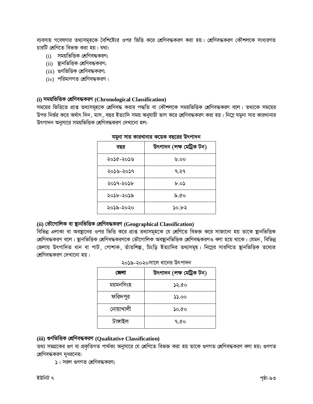ব্যবসায় গবেষণার তথ্যসমূহকে বৈশিষ্ট্যের ওপর ভিত্তি করে শ্রেণিবদ্ধকরণ করা হয়। শ্রেণিবদ্ধকরণ কৌশলকে সাধারণত চারটি শ্রেণিতে বিভক্ত করা হয়। যথা:

- $(i)$  সময়ভিত্তিক শ্রেণিবদ্ধকরণ;
- (ii) স্থানভিত্তিক শ্রেণিবদ্ধকরণ;
- (iii) গুণভিত্তিক শ্রেণিবদ্ধকরণ;
- $(iv)$  পরিমাণগত শ্রেণিবদ্ধকরণ।

## **(i) mgqwfwËK †kÖwYe×KiY (Chronological Classification)**

সময়ের ভিত্তিতে প্রাপ্ত তথ্যসমূহকে শ্রেণিবদ্ধ করার পদ্ধতি বা কৌশলকে সময়ভিত্তিক শ্রেণিবদ্ধকরণ বলে। তথ্যকে সময়ের উপর নির্ভর করে অর্থাৎ দিন, মাস, বছর ইত্যাদি সময় অনুযায়ী ভাগ করে শ্রেণিবদ্ধকরণ করা হয়। নিম্নে যমুনা সার কারখানার উৎপাদন অনুসারে সময়ভিত্তিক শ্রেণিবদ্ধকরণ দেখানো হল:

| বছর       | উৎপাদন (লক্ষ মেট্ৰিক টন) |
|-----------|--------------------------|
| ২০১৫-২০১৬ | ৩.০০                     |
| ২০১৬-২০১৭ | ৭.২৭                     |
| ২০১৭-২০১৮ | ৮.০১                     |
| ২০১৮-২০১৯ | ১.৫০                     |
| ২০১৯-২০২০ | ১০.৮২                    |

#### মমুনা সার কারখানার কয়েক বছরের উৎপাদন

# **(ii) †fЇMvwjK ev ¯'vbwfwËK †kÖwYe×KiY (Geographical Classification)**

বিভিন্ন এলাকা বা অবস্থানের ওপর ভিত্তি করে প্রাপ্ত তথ্যসমূহকে যে শ্রেণিতে বিভক্ত করে সাজানো হয় তাকে স্থানভিত্তিক শ্রেণিবদ্ধকরণ বলে। স্থানভিত্তিক শ্রেণিবদ্ধকরণকে ভৌগোলিক অবস্থানভিত্তিক শ্রেণিবদ্ধকরণও বলা হয়ে থাকে। যেমন, বিভিন্ন জেলায় উৎপাদিত ধান বা পাট, পোশাক, তাঁতশিল্প, চিংড়ি ইত্যাদির তথ্যসমূহ। নিম্নের সারণিতে স্থানভিত্তিক তথ্যের শ্রেণিবদ্ধকরণ দেখানো হয়।

#### 2019-2020সালে ধালের উৎপাদে

| জেলা      | উৎপাদন (লক্ষ মেট্ৰিক টন) |
|-----------|--------------------------|
| ময়মনসিংহ | ১২.৫০                    |
| ফরিদপুর   | 55.00                    |
| নোয়াখালী | ১০.৫০                    |
| টাঙ্গাইল  | 9.Q0                     |

# **(iii) ¸YwfwËK †kÖwYe×KiY (Qualitative Classification)**

তথ্য সমগ্রকের গুণ বা প্রকৃতিগত পার্থক্য অনুসারে যে শ্রেণিতে বিভক্ত করা হয় তাকে গুণগত শ্রেণিবদ্ধকরণ বলা হয়। গুণগত শ্রেণিবদ্ধকরণ দুধরনের:

১। সরল গুণগত শ্রেণিবদ্ধকরণ;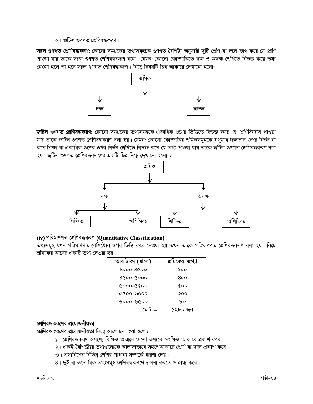২। জটিল গুণগত শ্রেণিবদ্ধকরণ।

সরল গুণগত শ্রেণিবদ্ধকরণ: কোনো সমগ্রকের তথ্যসমূহকে গুণগত বৈশিষ্ট্য অনুযায়ী দুটি শ্রেণি বা দলে ভাগ করে যে শ্রেণি পাওয়া যায় তাকে সরল গুণগত শ্রেণিবদ্ধকরণ বলে। যেমন: কোনো কোম্পানিতে দক্ষ ও অদক্ষ শ্রেণিতে বিভক্ত করে তথ্য নেওয়া হলে তা হবে সরল গুণগত শ্রেণিবদ্ধকরণ। নিম্নে বিষয়টি চিত্র আকারে দেখানো হলো:



জটিল গুণগত শ্রেণিবদ্ধকরণ: কোনো সমগ্রকের তথ্যসমূহকে একাধিক গুণের ভিত্তিতে বিভক্ত করে যে শ্রেণিবিন্যাস পাওয়া যায় তাকে জটিল গুণগত শ্রেণিবদ্ধকরণ বলা হয়। যেমন: কোনো কোম্পানির শ্রমিকসমূহকে শুধুমাত্র দক্ষতার ওপর নির্ভর না করে শিক্ষা বা একাধিক গুণের ওপর নির্ভর শ্রেণিতে বিভক্ত করে যে তথ্য পাওয়া যায় তাকে জটিল গুণগত শ্রেণিবদ্ধকরণ বলা হয়। জটিল গুণগত শ্রেণিবদ্ধকরণের একটি চিত্র নিম্নে দেখানো হলো:



# (iv) পরিমাণগত শ্রেণিবদ্ধকরণ (Quantitative Classification)

তথ্যসমূহ যখন পরিমাণগত বৈশিষ্ট্যের ওপর ভিত্তি করে নেওয়া হয় তখন তাকে পরিমাণগত শ্রেণিবদ্ধকরণ বলা হয়। নিচে শ্রমিকের আয়ের একটি তথ্য দেওয়া হয়।

| আয় টাকা (মাসে) | শ্রমিকের সংখ্যা |
|-----------------|-----------------|
| 8000-8000       | ১০০             |
| 0009-0098       | 800             |
| 0000-0000       | രാ              |
| ০০০৺-০০১১       | ২০০             |
| ০০১৬-০০০৬       | bο              |
| $=$             | ১২৮০ জন         |

# শ্রেণিবদ্ধকরণের প্রয়োজনীয়তা

শ্রেণিবদ্ধকরণের প্রয়োজনীয়তা নিম্লে আলোচনা করা হলো:

- ১। শ্রেণিবদ্ধকরণ অসংখ্য বিক্ষিপ্ত ও এলোমেলো তথ্যকে সংক্ষিপ্ত আকারে প্রকাশ করে।
- ২। একই বৈশিষ্ট্যের তথ্যগুলোকে আলাদাভাবে সহজ আকারে শ্রেণি বা দলে প্রকাশ করে।
- ৩। তথ্যবিশের বিভিন্ন শ্রেণির প্রাধান্য সম্পর্কে ধারণা দেয়।
- ৪। দুই বা ততোধিক তথ্যসমূহ শ্রেণিবদ্ধকরণে তুলনা করতে সাহায্য করে।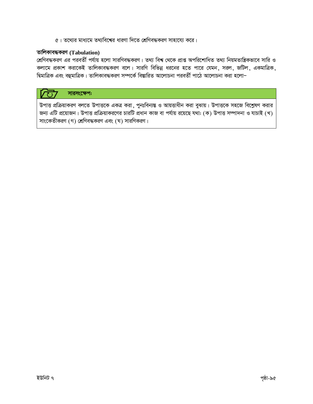৫। তথ্যের মাধ্যমে তথ্যবিশ্বের ধারণা দিতে শ্রেণিবদ্ধকরণ সাহায্যে করে।

# তালিকাবদ্ধকরণ (Tabulation)

শ্রেণিবদ্ধকরণ এর পরবর্তী পর্যায় হলো সারণিবদ্ধকরণ। তথ্য বিশ্ব থেকে প্রাপ্ত অপরিশোধিত তথ্য নিয়মতান্ত্রিকভাবে সারি ও কলামে প্রকাশ করাকেই তালিকাবদ্ধকরণ বলে। সারণি বিভিন্ন ধরনের হতে পারে যেমন, সরল, জটিল, একমাত্রিক, দ্বিমাত্রিক এবং বহুমাত্রিক। তালিকাবদ্ধকরণ সম্পর্কে বিস্তারিত আলোচনা পরবর্তী পাঠে আলোচনা করা হলো–

#### সারসংক্ষেপ:  $\tau$

উপাত্ত প্রক্রিয়াকরণ বলতে উপাত্তকে একত্র করা, পুনঃবিন্যস্ত ও আয়ত্তাধীন করা বুঝায়। উপাত্তকে সহজে বিশ্লেষণ করার জন্য এটি প্রয়োজন। উপাত্ত প্রক্রিয়াকরণের চারটি প্রধান কাজ বা পর্যায় রয়েছে যথা: (ক) উপাত্ত সম্পাদনা ও যাচাই (খ) সাংকেতীকরণ (গ) শ্রেণিবদ্ধকরণ এবং (ঘ) সারণিকরণ।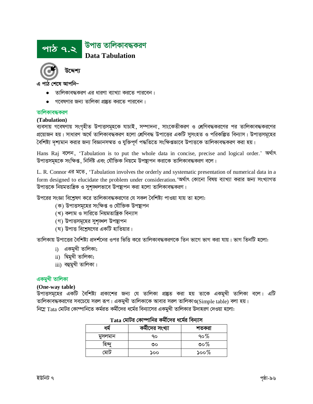



এ পাঠ শেষে আপনি-

- তালিকাবদ্ধকরণ এর ধারণা ব্যাখ্যা করতে পারবেন।
- গবেষণার জন্য তালিকা প্রষ্তুত করতে পারবেন।

#### তালিকাবদ্ধকরণ

#### (Tabulation)

ব্যবসায় গবেষণায় সংগৃহীত উপাত্তসমূহকে যাচাই, সম্পাদনা, সাংকেতীকরণ ও শ্রেণিবদ্ধকরণের পর তালিকাবদ্ধকরণের প্রয়োজন হয়। সাধারণ অর্থে তালিকাবদ্ধকরণ হলো শ্রেণিবদ্ধ উপাত্তের একটি সুসংহত ও পরিকল্পিত বিন্যাস। উপাত্তসমূহের বৈশিষ্ট্য দৃশ্যমান করার জন্য বিজ্ঞানসম্মত ও যুক্তিপূর্ণ পদ্ধতিতে সংক্ষিপ্তভাবে উপাত্তকে তালিকাবদ্ধকরণ করা হয়।

Hans Raj বলেন, 'Tabulation is to put the whole data in concise, precise and logical order.' অৰ্থাৎ উপাত্তসমূহকে সংক্ষিপ্ত, নির্দিষ্ট এবং যৌক্তিক নিয়মে উপস্থাপন করাকে তালিকাবদ্ধকরণ বলে।

L. R. Connor এর মতে, 'Tabulation involves the orderly and systematic presentation of numerical data in a form designed to elucidate the problem under consideration. 'অৰ্থাৎ কোনো বিষয় ব্যাখ্যা করার জন্য সংখ্যাগত উপাত্তকে নিয়মতান্ত্রিক ও সুশৃঙ্খলভাবে উপস্থাপন করা হলো তালিকাবদ্ধকরণ।

উপরের সংজ্ঞা বিশ্রেষণ করে তালিকাবদ্ধকরণের যে সকল বৈশিষ্ট্য পাওয়া যায় তা হলো:

- (ক) উপাত্তসমূহের সংক্ষিপ্ত ও যৌক্তিক উপষ্থাপন
- (খ) কলাম ও সারিতে নিয়মতান্ত্রিক বিন্যাস
- (গ) উপাত্তসমূহের সুশৃঙ্খল উপস্থাপন
- (ঘ) উপাত্ত বিশ্লেষণের একটি হাতিয়ার।

তালিকায় উপাত্তের বৈশিষ্ট্য প্রদর্শনের ওপর ভিত্তি করে তালিকাবদ্ধকরণকে তিন ভাগে ভাগ করা যায়। ভাগ তিনটি হলো:

- $i)$  একমুখী তালিকা;
- ii) দ্বিমুখী তালিকা;
- iii) বহুমুখী তালিকা।

## একমুখী তালিকা

#### (One-way table)

উপাত্তসমূহের একটি বৈশিষ্ট্য প্রকাশের জন্য যে তালিকা প্রষ্কুত করা হয় তাকে একমুখী তালিকা বলে। এটি তালিকাবদ্ধকরণের সবচেয়ে সরল রূপ। একমুখী তালিকাকে আবার সরল তালিকাও(Simple table) বলা হয়। নিম্নে  $\rm Tata$  মোটর কোম্পানিতে কর্মরত কর্মীদের ধর্মের বিন্যাসের একমুখী তালিকার উদাহরণ দেওয়া হলো:

|         | কর্মীদের সংখ্যা | শতকরা    |
|---------|-----------------|----------|
| মসলমান  | łО              | ৭০%      |
| হন      | ৩০              | ৩০%      |
| نا الھ. | ১০০             | ১০০ $\%$ |

## $\rm Tata$  মোটর কোম্পানির কর্মীদের ধর্মের বিন্যাস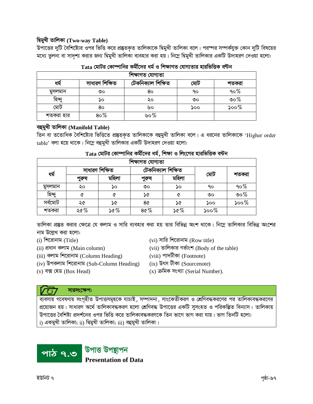# দ্বিমুখী তালিকা (Two-way Table)

উপাত্তের দুটি বৈশিষ্ট্যের ওপর ভিত্তি করে প্রষ্তুতকৃত তালিকাকে দ্বিমুখী তালিকা বলে। পরস্পর সম্পর্কযুক্ত কোন দুটি বিষয়ের মধ্যে তুলনা বা সাদৃশ্য করার জন্য দ্বিমুখী তালিকা ব্যবহার করা হয়। নিম্নে দ্বিমুখী তালিকার একটি উদাহরণ দেওয়া হলো:

| শিক্ষাগত যোগ্যতা |                |                    |     |          |  |  |  |  |  |
|------------------|----------------|--------------------|-----|----------|--|--|--|--|--|
| ধম               | সাধারণ শিক্ষিত | টেকনিক্যাল শিক্ষিত | মোঢ | শতকরা    |  |  |  |  |  |
| মুসলমান          | ৩০             | 80                 | 90  | 90 $%$   |  |  |  |  |  |
| হিন্দ            | ১০             | ২০                 | ৩০  | ৩০%      |  |  |  |  |  |
| মোট              | 80             | ৬০                 | ১০০ | ১০০ $\%$ |  |  |  |  |  |
| শতকরা হার        | $80\%$         | ৬০%                |     |          |  |  |  |  |  |

| Tata মোটর কোম্পানির কর্মীদের ধর্ম ও শিক্ষাগত যোগ্যতার হারভিত্তিক বন্টন |  |  |  |  |
|------------------------------------------------------------------------|--|--|--|--|
|                                                                        |  |  |  |  |

# বহুমুখী তালিকা (Manifold Table)

িন বা ততোধিক বৈশিষ্ট্যের ভিত্তিতে প্রষ্তুতকৃত তালিকাকে বহুমুখী তালিকা বলে। এ ধরনের তালিকাকে 'Higher order table' বলা হয়ে থাকে। নিম্নে বহুমুখী তালিকার একটি উদাহরণ দেওয়া হলো:

| $\rm Tata$ মোটর কোম্পানির কর্মীদের ধর্ম, শিক্ষা ও লিংগের হারভিত্তিক বন্টন |  |  |  |  |
|---------------------------------------------------------------------------|--|--|--|--|
|                                                                           |  |  |  |  |

| শিক্ষাগত যোগ্যতা |       |                |       |                    |         |         |  |  |  |
|------------------|-------|----------------|-------|--------------------|---------|---------|--|--|--|
| ধৰ্ম             |       | সাধারণ শিক্ষিত |       | টেকনিক্যাল শিক্ষিত |         |         |  |  |  |
|                  | পুরুষ | মহিলা          | পুরুষ | মহিলা              | মোট     | শতকরা   |  |  |  |
| মুসলমান          | ২০    | ১০             | ৩০    | ১০                 | ٩o      | $90\%$  |  |  |  |
| হিন্দু           | ৫     | ৫              | ১৫    | ৫                  | ৩০      | ುಂ $\%$ |  |  |  |
| সৰ্বমোট          | ২৫    | ১৫             | 8৫    | ১৫                 | ১০০     | $500\%$ |  |  |  |
| শতকরা            | ২৫%   | ১৫%            | 80%   | ১৫%                | $500\%$ |         |  |  |  |

তালিকা প্রষ্তুত করার ক্ষেত্রে যে কলাম ও সারি ব্যবহার করা হয় তার বিভিন্ন অংশ থাকে। নিম্নে তালিকার বিভিন্ন অংশের নাম উল্লেখ করা হলো:

- $(i)$  শিরোনাম (Title)
- (ii) প্ৰধান কলাম (Main column)
- (iii) কলাম শিরোনাম (Column Heading)
- (iv) উপকলাম শিরোনাম (Sub-Column Heading)
- (viii) পাদটীকা (Footnote)

(vii) তালিকার গর্ভাংশ (Body of the table)

(vi) সারি শিরোনাম (Row title)

 $(ix)$  উৎস টীকা (Sourcenote)

 $(v)$  বক্স হেড (Box Head)

 $(x)$  ক্ৰমিক সংখ্যা (Serial Number).

# সারসংক্ষেপ:

প্রয়োজন হয়। সাধারণ অর্থে তালিকাবদ্ধকরণ হলো শ্রেণিবদ্ধ উপাত্তের একটি সুসংহত ও পরিকল্পিত বিন্যাস। তালিকায় উপাত্তের বৈশিষ্ট্য প্রদর্শনের ওপর ভিত্তি করে তালিকাবদ্ধকরণকে তিন ভাগে ভাগ করা যায়। ভাগ তিনটি হলো: i) একমুখী তালিকা; ii) দ্বিমুখী তালিকা; iii) বহুমুখী তালিকা।

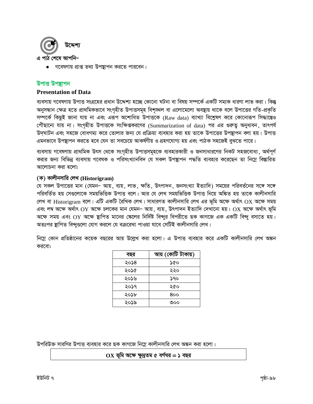

• গবেষণায় প্রাপ্ত তথ্য উপস্থাপন করতে পারবেন।

# উপাত্ত উপছাপন

#### **Presentation of Data**

ব্যবসায় গবেষণায় উপাত্ত সংগ্রহের প্রধান উদ্দেশ্য হচ্ছে কোনো ঘটনা বা বিষয় সম্পর্কে একটি সম্যক ধারণা লাভ করা। কিন্তু অনুসন্ধান ক্ষেত্র হতে প্রাথমিকভাবে সংগৃহীত উপাত্তসমূহ বিশৃঙ্খল বা এলোমেলো অবষ্থায় থাকে বলে উপাত্তের গতি-প্রকৃতি সম্পর্কে কিছুই জানা যায় না এবং এরূপ অশোধিত উপাত্তকে (Raw data) ব্যাখ্যা বিশ্লেষণ করে কোনোরূপ সিদ্ধান্তেও গৌছানো যায় না। সংগৃহীত উপাত্তকে সংক্ষিপ্তকরণের (Summarization of data) পর এর গুরুত্ব অনুধাবন, তাৎপর্য উদ্ঘাটন এবং সহজে বোধগম্য করে তোলার জন্য যে প্রক্রিয়া ব্যবহার করা হয় তাকে উপাত্তের উপস্থাপন বলা হয়। উপাত্ত এমনভাবে উপন্থাপন করতে হবে যেন তা সবচেয়ে আকর্ষণীয় ও গ্রহণযোগ্য হয় এবং পাঠক সহজেই বুঝতে পারে।

ব্যবসায় গবেষণায় প্রাথমিক উৎস থেকে সংগৃহীত উপাত্তসমূহকে ব্যবহারকারী ও জনসাধারণের নিকট সহজবোধ্য, অর্থপূর্ণ করার জন্য বিভিন্ন ব্যবসায় গবেষক ও পরিসংখ্যানবিদ যে সকল উপছাপন পদ্ধতি ব্যবহার করেছেন তা নিম্নে বিস্তারিত আলোচনা করা হলো:

#### (ক) কালীনসারি লেখ (Historigram)

যে সকল উপাত্তের মান (যেমন– আয়, ব্যয়, লাভ, ক্ষতি, উৎপাদন, জনসংখ্যা ইত্যাদি) সময়ের পরিবর্তনের সঙ্গে সঙ্গে পরিবর্তিত হয় সেগুলোকে সময়ভিত্তিক উপাত্ত বলে। আর যে লেখ সময়ভিত্তিক উপাত্ত নিয়ে অঙ্কিত হয় তাকে কালীনসারি লেখ বা Historigram বলে। এটি একটি রৈখিক লেখ। সাধারণত কালীনসারি লেখ এর ভূমি অক্ষে অর্থাৎ OX অক্ষে সময় এবং লম্ব অক্ষে অর্থাৎ  $\overline{\text{OY}}$  অক্ষে চলকের মান যেমন– আয়, ব্যয়, উৎপাদন ইত্যাদি দেখানো হয়।  $\overline{\text{OX}}$  অক্ষে অর্থাৎ ভূমি অক্ষে সময় এবং OY অক্ষে ষ্থাপিত মানের স্কেলের নির্দিষ্ট বিন্দুর বিপরীতে ছক কাগজে এক একটি বিন্দু বসাতে হয়। অতঃপর ষ্থাপিত বিন্দুগুলো যোগ করলে যে বক্ররেখা পাওয়া যাবে সেটিই কালীনসারি লেখ।

নিম্নে কোন প্রতিষ্ঠানের কয়েক বছরের আয় উল্লেখ করা হলো। এ উপাত্ত ব্যবহার করে একটি কালীনসারি লেখ অঙ্কন করবো:

| বছর  | আয় (কোটি টাকায়) |  |
|------|-------------------|--|
| ২০১৪ | ১৫০               |  |
| ২০১৫ | ২২০               |  |
| ২০১৬ | ১৭০               |  |
| ২০১৭ | ২৫০               |  |
| ২০১৮ | 800               |  |
| ২০১৯ | ৩০০               |  |

উপরিউক্ত সারণির উপাত্ত ব্যবহার করে ছক কাগজে নিম্নে কালীনসারি লেখ অঙ্কন করা হলো।

#### $\overline{\text{OX}}$  ভূমি অক্ষে ক্ষুদ্রতম ৫ বর্গঘর = ১ বছর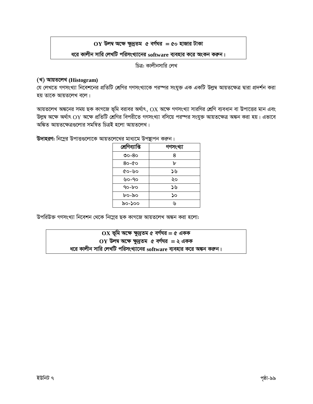# $OY$  উলম্ব অক্ষে ক্ষুদ্রতম ৫ বর্গঘর = ৫০ হাজার টাকা

### ধরে কালীন সারি লেখটি পরিসংখ্যানের software ব্যবহার করে অংকন করুন।

চিত্র: কালীনসারি লেখ

### (খ) আয়তলেখ (Histogram)

যে লেখতে গণসংখ্যা নিবেশনের প্রতিটি শ্রেণির গণসংখ্যাকে পরস্পর সংযুক্ত এক একটি উল্লম্ব আয়তক্ষেত্র দ্বারা প্রদর্শন করা হয় তাকে আয়তলেখ বলে।

আয়তলেখ অঙ্কনের সময় ছক কাগজে ভূমি বরাবর অর্থাৎ, OX অক্ষে গণসংখ্যা সারণির শ্রেণি ব্যবধান বা উপাত্তের মান এবং উল্লম্ব অক্ষে অর্থাৎ  $\overline{\text{OY}}$  অক্ষে প্রতিটি শ্রেণির বিপরীতে গণসংখ্যা বসিয়ে পরস্পর সংযুক্ত আয়তক্ষেত্র অঙ্কন করা হয়। এভাবে অঙ্কিত আয়তক্ষেত্ৰগুলোর সমন্বিত চিত্রই হলো আয়তলেখ।

উদাহরণ: নিমের উপাত্তুলোকে আয়তলেখের মাধ্যমে উপস্থাপন করুন।

| শ্ৰেণিব্যাপ্তি | গণসংখ্যা |
|----------------|----------|
| ಲಿಂ-8ಂ         | 8        |
| 80-00          | ᠤ        |
| ৫০-৬০          | ১৬       |
| ৬০-৭০          | ২০       |
| 90-bo          | ১৬       |
| ৮০-৯০          | ১০       |
| ৯০-১০০         | ۱μ       |

উপরিউক্ত গণসংখ্যা নিবেশন থেকে নিম্নের ছক কাগজে আয়তলেখ অঙ্কন করা হলো:

 $OX$  ভূমি অক্ষে ক্ষুদ্রতম ৫ বর্গঘর = ৫ একক  $OY$  উলম্ব অক্ষে ক্ষুদ্রতম ৫ বর্গঘর = ২ একক ধরে কালীন সারি লেখটি পরিসংখ্যানের software ব্যবহার করে অঙ্কন করুন।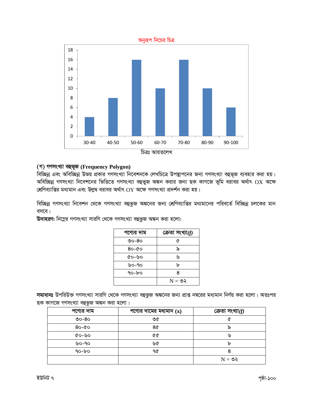

# (গ) গণসংখ্যা বহুভূজ (Frequency Polygon)

বিচ্ছিন্ন এবং অবিচ্ছিন্ন উভয় প্রকার গণসংখ্যা নিবেশনকে লেখচিত্রে উপস্থাপনের জন্য গণসংখ্যা বহুভূজ ব্যবহার করা হয়। অবিচ্ছিন্ন গণসংখ্যা নিবেশনের ভিত্তিতে গণসংখ্যা বহুভুজ অঙ্কন করার জন্য ছক কাগজে ভূমি বরাবর অর্থাৎ OX অক্ষে শ্রেণিব্যাপ্তির মধ্যমান এবং উলুম্ব বরাবর অর্থাৎ  $\mathrm{OY}$  অক্ষে গণসংখ্যা প্রদর্শন করা হয়।

বিচ্ছিন্ন গণসংখ্যা নিবেশন থেকে গণসংখ্যা বহুভুজ অঙ্কনের জন্য শ্রেণিব্যাপ্তির মধ্যমানের পরিবর্তে বিচ্ছিন্ন চলকের মান বসবে।

উদাহরণ: নিম্নের গণসংখ্যা সারণি থেকে গণসংখ্যা বহুভুজ অঙ্কন করা হলো:

| পণ্যের দাম | ক্ৰেতা সংখ্যা $(f)$ |
|------------|---------------------|
| ৩০-৪০      | ৫                   |
| 80-&0      | ৯                   |
| ৫০-৬০      | ۱y                  |
| ৬০-৭০      | ᠤ                   |
| १०-৮०      | 8                   |
|            | $N = 92$            |

সমাধানঃ উপরিউক্ত গণসংখ্যা সারণি থেকে গণসংখ্যা বহুভুজ অঙ্কনের জন্য প্রাপ্ত নম্বরের মধ্যমান নির্ণয় করা হলো। অতঃপর ছক কাগজে গণসংখ্যা বহুভুজ অঙ্কন করা হলো :

| পণ্যের দাম | পণ্যের দামের মধ্যমান $(x)$ | ক্ৰেতা সংখ্যা $(f)$ |
|------------|----------------------------|---------------------|
| ৩০-৪০      | ৩৫                         |                     |
| $80 - 60$  | 8¢                         | െ                   |
| ৫০-৬০      | 66                         | ৬                   |
| ৬০-৭০      | ৬৫                         | ৮                   |
| $90-b$     | ৭৫                         | 8                   |
|            |                            | $N = 95$            |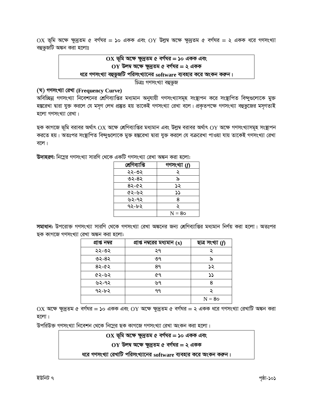উপরিউক্ত গণসংখ্যা নিবেশন থেকে নিম্নের ছক কাগজে গণসংখ্যা রেখা অংকন করা হলো।

হলো।

 $OX$  অক্ষে ক্ষুদ্রতম ৫ বর্গঘর = ১০ একক এবং  $OY$  অক্ষে ক্ষুদ্রতম ৫ বর্গঘর = ২ একক ধরে গণসংখ্যা রেখাটি অঙ্কন করা

 $\boldsymbol{\mathcal{S}}$ ৭২-৮২ ঀঀ  $N = 80$ 

 $82 - 62$ 89 ১২ ৫২-৬২ ৫৭  $\mathcal{V}$ ৬২-৭২ ৬৭ 8

ছক কাগজে গণসংখ্যা রেখা অঙ্কন করা হলো:

প্রাপ্ত নম্বর

২২-৩২

৩২-৪২

**সমাধান:** উপরোক্ত গণসংখ্যা সারণি থেকে গণসংখ্যা রেখা অঙ্কনের জন্য শ্রেণিব্যাপ্তির মধ্যমান নির্ণয় করা হলো। অতঃপর

প্রাপ্ত নম্বরের মধ্যমান (x)

২৭

৩৭

ছাত্ৰ সংখ্যা  $(f)$ 

২

৯

| শ্ৰেণিব্যাপ্তি | গণসংখ্যা $(f)$ |  |
|----------------|----------------|--|
| ২২-৩২          |                |  |
| ৩২-৪২          | ৯              |  |
| ৪২-৫২          | ১২             |  |
| ৫২-৬২          | دد             |  |
| ৬২-৭২          | 8              |  |
| ৭২-৮২          |                |  |
|                | $N = 80$       |  |

উদাহরণ: নিম্নের গণসংখ্যা সারণি থেকে একটি গণসংখ্যা রেখা অঙ্কন করা হলো:

বলে।

হলো গণসংখ্যা রেখা।

(ঘ) গণসংখ্যা রেখা (Frequency Curve) অবিচ্ছিন্ন গণসংখ্যা নিবেশনের শ্রেণিব্যাপ্তির মধ্যমান অনুযায়ী গণসংখ্যাসমূহ সংস্থাপন করে সংস্থাপিত বিন্দুগুলোকে মুক্ত হস্তরেখা দ্বারা যুক্ত করলে যে মসৃণ লেখ প্রষ্কৃত হয় তাকেই গণসংখ্যা রেখা বলে। প্রকৃতপক্ষে গণসংখ্যা বহুভুজের মসৃণতাই

ছক কাগজে ভূমি বরাবর অর্থাৎ  $\overline{\text{OX}}$  অক্ষে শ্রেণিব্যাপ্তির মধ্যমান এবং উল্লম্ব বরাবর অর্থাৎ  $\overline{\text{OY}}$  অক্ষে গণসংখ্যাসমূহ সংস্থাপন করতে হয়। অতঃপর সংস্থাপিত বিন্দুগুলোকে মুক্ত হস্তরেখা দ্বারা যুক্ত করলে যে বক্ররেখা পাওয়া যায় তাকেই গণসংখ্যা রেখা

OX ভূমি অক্ষে ক্ষুদ্রতম ৫ বর্গঘর = ১০ একক এবং OY উল্লম্ব অক্ষে ক্ষুদ্রতম ৫ বর্গঘর = ২ একক ধরে গণসংখ্যা বহুভুজটি অঙ্কন করা হলোঃ  $\overline{\text{OX}}$  ভূমি অক্ষে ক্ষুদ্রতম ৫ বর্গঘর = ১০ একক এবং

> $OY$  উলম্ব অক্ষে ক্ষুদ্রতম ৫ বর্গঘর = ২ একক ধরে গণসংখ্যা বহুভুজটি পরিসংখ্যানের software ব্যবহার করে অংকন করুন। চিত্ৰঃ গণসংখ্যা বহুভুজ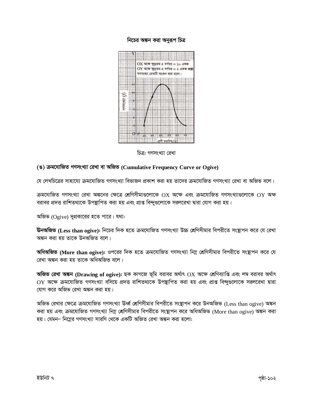#### নিচের অঙ্কন করা অনুরূপ চিত্র



চিত্র: গণসংখ্যা রেখা

# (ঙ) ক্রমযোজিত গণসংখ্যা রেখা বা অজিভ (Cumulative Frequency Curve or Ogive)

যে লেখচিত্রের সাহায্যে ক্রমযোজিত গণসংখ্যা বিভাজন প্রকাশ করা হয় তাদের ক্রমযোজিত গণসংখ্যা রেখা বা অজিভ বলে।

ক্রমযোজিত গণসংখ্যা রেখা অঙ্কনের ক্ষেত্রে শ্রেণিসীমাগুলোকে  $\mathcal{O}X$  অক্ষে এবং ক্রমযোজিত গণসংখ্যাগুলোকে  $\mathcal{O}Y$  অক্ষ বরাবর প্রদত্ত রাশিতথ্যকে উপষ্থাপিত করা হয় এবং প্রাপ্ত বিন্দুগুলোকে সরলরেখা দ্বারা যোগ করা হয়।

অজিভ (Ogive) দুপ্রকারের হতে পারে। যথা:

**উনঅজিভ (Less than ogive):** নিচের দিক হতে ক্রমযোজিত গণসংখ্যা উচ্চ শ্রেণিসীমার বিপরীতে সংষ্থাপন করে যে রেখা অঙ্কন করা হয় তাকে উনঅজিত বলে।

**অধিঅজিভ** (More than ogive): ওপরের দিক হতে ক্রমযোজিত গণসংখ্যা নিম্ন শ্রেণিসীমার বিপরীতে সংস্থাপন করে যে রেখা অঙ্কন করা হয় তাকে অধিঅজিভ বলে।

**অজিভ রেখা অঙ্কন (Drawing of ogive):** ছক কাগজে ভূমি বরাবর অর্থাৎ  $\overline{OX}$  অক্ষে শ্রেণিব্যাপ্তি এবং লম্ব বরাবর অর্থাৎ  $OY$  অক্ষে ক্রমযোজিত গণসংখ্যা বসিয়ে প্রদত্ত রাশিতথ্যকে উপষ্থাপিত করা হয় এবং প্রাপ্ত বিন্দুগুলোকে সরলরেখা দ্বারা যোগ করে অজিভ রেখা অঙ্কন করা হয়।

অজিভ রেখার ক্ষেত্রে ক্রমযোজিত গণসংখ্যা উর্ধ্ব শ্রেণিসীমার বিপরীতে সংস্থাপন করে উনঅজিভ (Less than ogive) অঙ্কন করা হয় এবং ক্রমযোজিত গণসংখ্যা নিম্ন শ্রেণিসীমার বিপরীতে সংস্থাপন করে অধিঅজিভ (More than ogive) অঙ্কন করা হয়। যেমন– নিম্নের গণসংখ্যা সারণি থেকে একটি অজিত রেখা অঙ্কন করা হলো: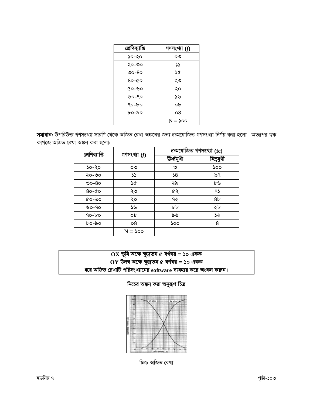



নিচের অঙ্কন করা অনুরূপ চিত্র

| $\mathbf{O}(\mathbf{X})$ ভূমি অক্ষে ক্ষুদ্রতম ৫ বর্গঘর = ১০ একক |  |
|-----------------------------------------------------------------|--|
| $\mathbf{O}Y$ উলম্ব অক্ষে ক্ষুদ্রতম ৫ বর্গঘর = ১০ একক           |  |
| ধরে অজিভ রেখাটি পরিসংখ্যানের software ব্যবহার করে অংকন করুন।    |  |

|           | শ্ৰেণিব্যাপ্তি<br>গণসংখ্যা $(f)$ | ক্রমযোজিত গণসংখ্যা (fc) |                |
|-----------|----------------------------------|-------------------------|----------------|
|           |                                  | উৰ্ধ্বমুখী              | নিম্নমুখী      |
| ১০-২০     | ೦೨                               | ৩                       | ১০০            |
| ২০-৩০     | $\mathcal{L}$                    | $\mathsf{S}$            | ৯৭             |
| $OO-8$    | ১৫                               | ২৯                      | ৮৬             |
| $80 - 60$ | ২৩                               | ৫২                      | 95             |
| ৫০-৬০     | ২০                               | ৭২                      | 8 <sub>b</sub> |
| ৬০-৭০     | ১৬                               | ৮৮                      | ২৮             |
| $90-b$    | ob                               | ৯৬                      | ১২             |
| ০৯-০৩     | 08                               | ১০০                     | 8              |
|           | $N = 500$                        |                         |                |

|                |                |           | ক্ৰমযোজিত গণসংখ্যা (fc) |
|----------------|----------------|-----------|-------------------------|
| শ্ৰেণিব্যাপ্তি | গণসংখ্যা $(f)$ | উৰ্ধ্বমখী | নিম্নমুখী               |
| ১০-২০          | ೲ              | ৩         | ১০০                     |
| ২০-৩০          |                | 58        | ৯৭                      |
| 00000          | р              | $\sim$    | مايسا                   |

সমাধান: উপরিউক্ত গণসংখ্যা সারণি থেকে অজিভ রেখা অঙ্কনের জন্য ক্রমযোজিত গণসংখ্যা নির্ণয় করা হলো। অতঃপর ছক কাগজে অজি

| শ্ৰেণিব্যাপ্তি | গণসংখ্যা $(f)$ |  |
|----------------|----------------|--|
| ১০-২০          | ০৩             |  |
| ২০-৩০          | ১১             |  |
| ৩০-৪০          | ১৫             |  |
| 80-00          | ২৩             |  |
| ৫০-৬০          | ২০             |  |
| ৬০-৭০          | ১৬             |  |
| ৭০-৮০          | ob             |  |
| ხი-აი          | ο8             |  |
|                | N = ১০০        |  |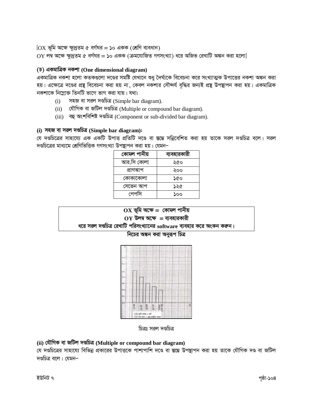$[OX \nsubseteq \mathfrak{D}$  অক্ষে ক্ষুদ্রতম ৫ বর্গঘর = ১০ একক (শ্রেণি ব্যবধান)

 $OY$  লম্ব অক্ষে ক্ষুদ্রতম ৫ বর্গঘর = ১০ একক (ক্রমযোজিত গণসংখ্যা) ধরে অজিভ রেখাটি অঙ্কন করা হলো]

# $(5)$  একমাত্রিক নকশা (One dimensional diagram)

একমাত্রিক নকশা হলো কতকগুলো দণ্ডের সমষ্টি যেখানে শুধু দৈর্ঘ্যকে বিবেচনা করে সংখ্যাত্মক উপাত্তের নকশা অঙ্কন করা হয়। এক্ষেত্রে দণ্ডের প্রন্থ বিবেচনা করা হয় না, কেবল নকশার সৌন্দর্য বৃদ্ধির জন্যই প্রন্থ উপস্থাপন করা হয়। একমাত্রিক নকশাকে নিম্লোক্ত তিনটি ভাগে ভাগ করা যায়। যথা:

- সহজ বা সরল দণ্ডচিত্র (Simple bar diagram).  $(i)$
- (ii) যৌগিক বা জটিল দণ্ডচিত্ৰ (Multiple or compound bar diagram).
- (iii) বহু অংশবিশিষ্ট দণ্ডচিত্ৰ (Component or sub-divided bar diagram).

## (i) সহজ বা সরল দণ্ডচিত্র (Simple bar diagram):

যে দণ্ডচিত্রের সাহায্যে এক একটি উপাত্ত প্রতিটি দণ্ডে বা স্তম্ভে সন্নিবেশিত করা হয় তাকে সরল দণ্ডচিত্র বলে। সরল দণ্ডচিত্রের মাধ্যমে শ্রেণিভিত্তিক গণসংখ্যা উপস্থাপন করা হয়। যেমন–

| কোমল পানীয় | ব্যবহারকারী |
|-------------|-------------|
| আর.সি কোলা  | ২৫০         |
| প্ৰাণআপ     | ২০০         |
| কোকাকোলা    | ১৫০         |
| সেভেন আপ    | ১২৫         |
| পেপসি       | ১০০         |

# $OX$  ভূমি অক্ষে = কোমল পানীয়  $OY$  উলম্ব অক্ষে = ব্যবহারকারী

ধরে সরল দণ্ডচিত্র রেখাটি পরিসংখ্যানের software ব্যবহার করে অংকন করুন।

নিচের অঙ্কন করা অনুরূপ চিত্র



চিত্রঃ সরল দণ্ডচিত্র

# (ii) যৌগিক বা জটিল দণ্ডচিত্ৰ (Multiple or compound bar diagram)

যে দণ্ডচিত্রের সাহায্যে বিভিন্ন প্রকারের উপাত্তকে পাশাপাশি দণ্ডে বা স্তম্ভে উপস্থাপন করা হয় তাকে যৌগিক দণ্ড বা জটিল দণ্ডচিত্র বলে। যেমন-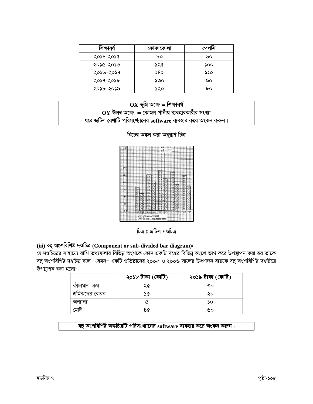| শিক্ষাবৰ্ষ | কোকাকোলা | পেপাস |
|------------|----------|-------|
| ২০১৪-২০১৫  | bo       | ৬০    |
| ২০১৫-২০১৬  | ১২৫      | ১০০   |
| ২০১৬-২০১৭  | 8٥د      | ১১০   |
| ২০১৭-২০১৮  | ১৩০      | ৯০    |
| ২০১৮-২০১৯  | ১২০      | bo    |

| $\mathbf{OX}$ ভূমি অক্ষে = শিক্ষাবর্ষ                                  |
|------------------------------------------------------------------------|
| $\overline{\text{OY}}$ উলম্ব অক্ষে $=$ কোমল পানীয় ব্যবহারকারীর সংখ্যা |
| ধরে জটিল রেখাটি পরিসংখ্যানের software ব্যবহার করে অংকন করুন।           |





চিত্ৰ ঃ জটিল দণ্ডচিত্ৰ

# (iii) বহু অংশবিশিষ্ট দণ্ডচিত্ৰ (Component or sub-divided bar diagram):

যে দণ্ডচিত্রের সাহায্যে রাশি তথ্যমালার বিভিন্ন অংশকে কোন একটি দণ্ডের বিভিন্ন অংশে ভাগ করে উপস্থাপন করা হয় তাকে বহু অংশবিশিষ্ট দণ্ডচিত্র বলে। যেমন– একটি প্রতিষ্ঠানের ২০০৫ ও ২০০৬ সালের উৎপাদন ব্যয়কে বহু অংশবিশিষ্ট দণ্ডচিত্রে উপস্থাপন করা হলো:

|                | ২০১৮ টাকা (কোটি) | ২০১৯ টাকা (কোটি) |
|----------------|------------------|------------------|
| কাঁচামাল ক্ৰয় | ২৫               | ৩০               |
| শ্রমিকদের বেতন | ১৫               | ২০               |
| অন্যান্য       |                  | ΔO               |
| মোট            | 8৫               | ৬০               |

বহু অংশবিশিষ্ট অঙ্কচিত্রটি পরিসংখ্যানের software ব্যবহার করে অংকন করুন।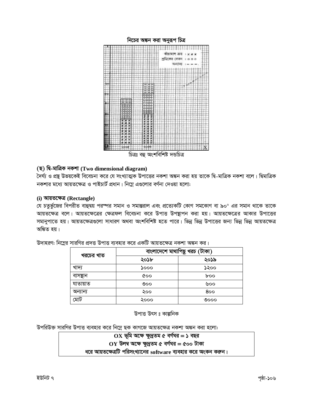

চিত্ৰঃ বহু অংশবিশিষ্ট দন্ডচিত্ৰ

# (ছ) দি-মাত্ৰিক নকশা (Two dimensional diagram)

দৈর্ঘ্য ও প্রন্থ উভয়কেই বিবেচনা করে যে সংখ্যাত্মক উপাত্তের নকশা অঙ্কন করা হয় তাকে দ্বি-মাত্রিক নকশা বলে। দ্বিমাত্রিক নকশার মধ্যে আয়তক্ষেত্র ও পাইচার্ট প্রধান। নিম্নে এণ্ডলোর বর্ণনা দেওয়া হলো:

#### (i) আয়তক্ষেত্ৰ (Rectangle)

যে চতুর্ভুজের বিপরীত বাহুদ্বয় পরস্পর সমান ও সমান্তরাল এবং প্রত্যেকটি কোণ সমকোণ বা ৯০° এর সমান থাকে তাকে আয়তক্ষেত্র বলে। আয়তক্ষেত্রের ক্ষেত্রফল বিবেচনা করে উপাত্ত উপস্থাপন করা হয়। আয়তক্ষেত্রের আকার উপাত্তের সমানুপাতে হয়। আয়তক্ষেত্ৰগুলো সাধারণ অথবা অংশবিশিষ্ট হতে পারে। ভিন্ন ভিন্ন উপাত্তের জন্য ভিন্ন ভিন্ন আয়তক্ষেত্র অঙ্কিত হয়।

| খরচের খাত | বাংলাদেশে মাথাপিছু খরচ (টাকা) |      |
|-----------|-------------------------------|------|
|           | ২০১৮                          | ২০১৯ |
| খাদ্য     | ১০০০                          | ১২০০ |
| বাসস্থান  | ৫০০                           | boo  |
| যাতায়াত  | ৩০০                           | ৬০০  |
| অন্যান্য  | ২০০                           | 800  |
| মোট       | ২০০০                          | ৩೦೦೦ |

উদাহরণ: নিম্নের সারণির প্রদত্ত উপাত্ত ব্যবহার করে একটি আয়তক্ষেত্র নকশা অঙ্কন কর।

উপাত্ত উৎস ঃ কাল্পনিক

উপরিউক্ত সারণির উপাত্ত ব্যবহার করে নিম্নে ছক কাগজে আয়তক্ষেত্র নকশা অঙ্কন করা হলো:

 $OX$  ভূমি অক্ষে ক্ষুদ্রতম ৫ বর্গঘর = ১ বছর  $OY$  উলম্ব অক্ষে ক্ষুদ্রতম ৫ বর্গঘর = ৫০০ টাকা

ধরে আয়তক্ষেত্রটি পরিসংখ্যানের software ব্যবহার করে অংকন করুন।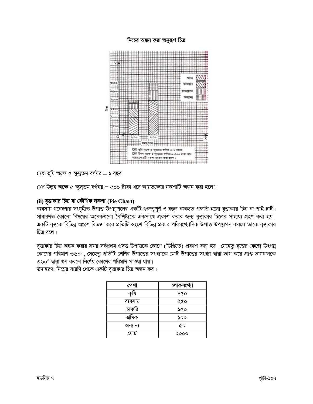

 $OX$  ভূমি অক্ষে ৫ ক্ষুদ্রতম বর্গঘর = ১ বছর

 $OY$  উল্লম্ব অক্ষে ৫ ক্ষুদ্রতম বর্গঘর = ৫০০ টাকা ধরে আয়তক্ষেত্র নকশাটি অঙ্কন করা হলো।

# (ii) বৃত্তাকার চিত্র বা কৌণিক নকশা (Pie Chart)

ব্যবসায় গবেষণায় সংগৃহীত উপাত্ত উপস্থাপনের একটি গুরুত্বপূর্ণ ও বহুল ব্যবহৃত পদ্ধতি হলো বৃত্তাকার চিত্র বা পাই চার্ট। সাধারণত কোনো বিষয়ের অনেকগুলো বৈশিষ্ট্যকে একসাথে প্রকাশ করার জন্য বৃত্তাকার চিত্রের সাহায্য গ্রহণ করা হয়। একটি বৃত্তকে বিভিন্ন অংশে বিভক্ত করে প্রতিটি অংশে বিভিন্ন প্রকার পরিসংখ্যানিক উপাত্ত উপস্থাপন করলে তাকে বৃত্তাকার চিত্ৰ বলে।

বৃত্তাকার চিত্র অঙ্কন করার সময় সর্বপ্রথম প্রদত্ত উপাত্তকে কোণে (ডিগ্রিতে) প্রকাশ করা হয়। যেহেতু বৃত্তের কেন্দ্রে উৎপন্ন কোণের পরিমাণ ৩৬০°, সেহেতু প্রতিটি শ্রেণির উপাত্তের সংখ্যাকে মোট উপাত্তের সংখ্যা দ্বারা ভাগ করে প্রাপ্ত ভাগফলকে ৩৬০° দ্বারা গুণ করলে নির্ণেয় কোণের পরিমাণ পাওয়া যায়।

উদাহরণ: নিম্নের সারণি থেকে একটি বৃত্তাকার চিত্র অঙ্কন কর।

| পেশা     | লোকসংখ্যা |
|----------|-----------|
|          | 800       |
| ব্যবসায় | ২৫০       |
| চাকরি    | ১৫০       |
| শ্ৰমিক   | ১০০       |
| অন্যান্য | ৫০        |
| মোট      | ১০০০      |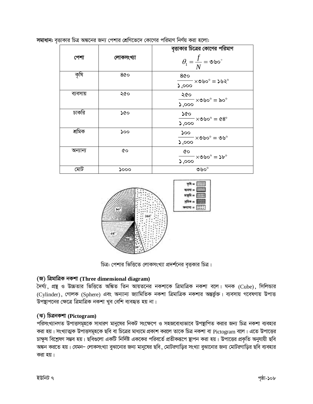|          |           | বৃত্তাকার চিত্রের কোণের পরিমাণ                                                     |
|----------|-----------|------------------------------------------------------------------------------------|
| পেশা     | লোকসংখ্যা | $\theta_{\rm l} = \frac{f}{N} = \infty$ అం $^{\circ}$                              |
| কৃষি     | 800       | 800<br>$ \times$ ৩৬০ $^{\circ}$ $=$ ১৬২ $^{\circ}$<br>5,000                        |
| ব্যবসায় | ২৫০       | ২৫০<br>$\overline{\phantom{0}}\times\mathfrak{G}$ ৬০ $\circ$ = ৯০ $\circ$<br>5,000 |
| চাকরি    | ১৫০       | ১৫০<br>$-\times$ ააი $^{\circ}$ = 68 $^{\circ}$<br>0.000                           |
| শ্ৰমিক   | ১০০       | 500<br>$\texttt{--} \times$ ల৬ $\texttt{o}^{\circ} = \texttt{--} \times$<br>0,000  |
| অন্যান্য | 6Q        | 6Q<br>$\mathsf{\sim} \times$ ৩৬০ $^{\circ} = 2$ ৮ $^{\circ}$<br>5,000              |
| মোট      | აიიი      | $M_0$                                                                              |

সমাধান: বৃত্তাকার চিত্র অঙ্কনের জন্য পেশার শ্রেণিভেদে কোণের পরিমাণ নির্ণয় করা হলো:



চিত্র: পেশার ভিত্তিতে লোকসংখ্যা প্রদর্শনের বৃত্তকার চিত্র।

# (জ) ত্রিমাত্রিক নকশা (Three dimensional diagram)

দৈৰ্ঘ্য, প্ৰন্থ ও উচ্চতার ভিত্তিতে অঙ্কিত তিন আয়তনের নকশাকে ত্রিমাত্রিক নকশা বলে। ঘনক (Cube), সিলিন্ডার (Cylinder), গোলক (Sphere) এবং অন্যান্য জ্যামিতিক নকশা ত্রিমাত্রিক নকশার অন্তর্ভুক্ত। ব্যবসায় গবেষণায় উপাত্ত উপস্থাপনের ক্ষেত্রে ত্রিমাত্রিক নকশা খুব বেশি ব্যবহৃত হয় না।

# (ঝ) চিত্রনকশা (Pictogram)

পরিসংখ্যানগত উপাত্তসমূহকে সাধারণ মানুষের নিকট সংক্ষেপে ও সহজবোধ্যভাবে উপস্থাপিত করার জন্য চিত্র নকশা ব্যবহার করা হয়। সংখ্যাত্মক উপাত্তসমূহকে ছবি বা চিত্রের মাধ্যমে প্রকাশ করলে তাকে চিত্র নকশা বা Pictogram বলে। এতে উপাত্তের চাক্ষুষ বিশ্লেষণ সম্ভব হয়। ছবিগুলো একটি নির্দিষ্ট এককের পরিবর্তে প্রতীকরূপে ছাপন করা হয়। উপাত্তের প্রকৃতি অনুযায়ী ছবি অঙ্কন করতে হয়। যেমন– লোকসংখ্যা বুঝানোর জন্য মানুষের ছবি, মোটরগাড়ির সংখ্যা বুঝানোর জন্য মোটরগাড়ির ছবি ব্যবহার করা হয়।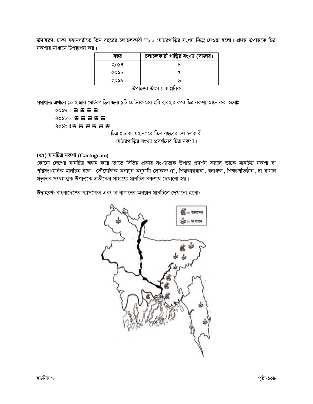**উদাহরণ:** ঢাকা মহানগরীতে তিন বছরের চলাচলকারী Tata মোটরগাড়ির সংখ্যা নিম্নে দেওয়া হলো। প্রদত্ত উপাত্তকে চিত্র নকশার মাধ্যমে উপস্থাপন কর।

| বছর  | চলাচলকারী গাড়ির সংখ্যা (বাজার) |
|------|---------------------------------|
| ২০১৭ |                                 |
| ২০১৮ |                                 |
| ২০১৯ | ۱y                              |
|      |                                 |

উপাত্তের উৎস ঃ কাল্পনিক

**সমাধান:** এখানে ১০ হাজার মোটরগাডির জন্য ১টি মোটরকারের ছবি ব্যবহার করে চিত্র নকশা অঙ্কন করা হলোঃ

20298 胃胃胃胃 2026 8 8 8 8 8 8 8 2029 8日 田田田田田

চিত্র ঃ ঢাকা মহানগরে তিন বছরের চলাচলকারী মোটরগাড়ির সংখ্যা প্রদর্শনের চিত্র নকশা।

# **(T) gvbwPÎ bKkv (Cartogram)**

কোনো দেশের মানচিত্র অঙ্কন করে তাতে বিভিন্ন প্রকার সংখ্যাত্মক উপাত্ত প্রদর্শন করলে তাকে মানচিত্র নকশা বা পরিসংখ্যানিক মানচিত্র বলে। ভৌগোলিক অবস্থান অনুযায়ী লোকসংখ্যা, শিল্পকারখানা, বনাঞ্চল, শিক্ষাপ্রতিষ্ঠান, চা বাগান প্রভৃতির সংখ্যাত্মক উপাত্তকে প্রতীকের সাহায্যে মানচিত্র নকশায় দেখানো হয়।

**উদাহরণ:** বাংলাদেশের গ্যাসক্ষেত্র এবং চা বাগানের অবস্থান মানচিত্রে দেখানো হলো:

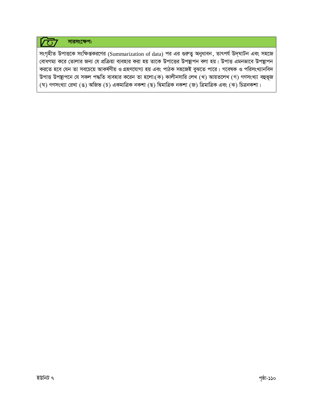#### সারসংক্ষেপ:  $\overline{(\ })$

সংগৃহীত উপাত্তকে সংক্ষিপ্তকরণের (Summarization of data) পর এর গুরুত্ব অনুধাবন, তাৎপর্য উদ্ঘাটন এবং সহজে বোধগম্য করে তোলার জন্য যে প্রক্রিয়া ব্যবহার করা হয় তাকে উপাত্তের উপস্থাপন বলা হয়। উপাত্ত এমনভাবে উপস্থাপন করতে হবে যেন তা সবচেয়ে আকর্ষণীয় ও গ্রহণযোগ্য হয় এবং পাঠক সহজেই বুঝতে পারে। গবেষক ও পরিসংখ্যানবিদ উপাত্ত উপন্থাপনে যে সকল পদ্ধতি ব্যবহার করেন তা হলো:(ক) কালীনসারি লেখ (খ) আয়তলেখ (গ) গণসংখ্যা বহুভূজ (ঘ) গণসংখ্যা রেখা (ঙ) অজিভ (চ) একমাত্রিক নকশা (ছ) দ্বিমাত্রিক নকশা (জ) ত্রিমাত্রিক এবং (ঝ) চিত্রনকশা।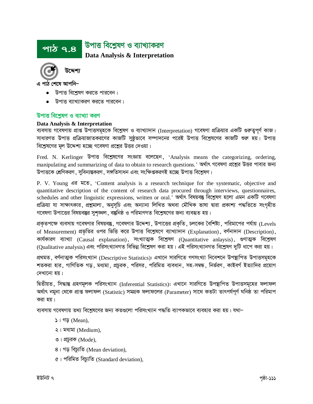#### <u>উপাত্ত বিশ্বেষণ ও ব্যাখ্যাকরণ</u> **Data Analysis & Interpretation** <u>পাঠ ৭.৪ </u>



উদ্দেশ্য

এ পাঠ শেষে আপনি–

- উপাত্ত বিশ্লেষণ করতে পারবেন।
- উপাত্ত ব্যাখ্যাকরণ করতে পারবেন।

# <u>উপাত্ত বিশ্ৰেষণ ও ব্যাখ্যা করণ</u>

### **Data Analysis & Interpretation**

ব্যবসায় গবেষণায় প্রাপ্ত উপাত্তসমূহকে বিশ্লেষণ ও ব্যাখ্যাদান (Interpretation) গবেষণা প্রক্রিয়ার একটি গুরুত্বপূর্ণ কাজ। সাধারণত উপাত্ত প্রক্রিয়াজাতকরণের কাজটি সুষ্ঠভাবে সম্পাদনের পরেই উপাত্ত বিশ্লেষণের কাজটি শুরু হয়। উপাত্ত বিশ্লেষণের মূল উদ্দেশ্য হচ্ছে গবেষণা প্রশ্নের উত্তর দেওয়া।

Fred. N. Kerlinger উপাত্ত বিশ্লেষণের সংজ্ঞায় বলেছেন, 'Analysis means the categorizing, ordering, manipulating and summarizing of data to obtain to research questions.' অৰ্থাৎ গবেষণা প্ৰশ্নের উত্তর পাবার জন্য উপাত্তকে শ্রেণিকরণ, সবিন্যস্তকরণ, সঙ্গতিসাধন এবং সংক্ষিপ্তকরণই হচ্ছে উপাত্ত বিশ্লেষণ।

P. V. Young এর মতে, 'Content analysis is a research technique for the systematic, objective and quantitative description of the content of research data procured through interviews, questionnaires, schedules and other linguistic expressions, written or oral.' অৰ্থাৎ বিষয়বস্তু বিশ্লেষণ হলো এমন একটি গবেষণা প্রক্রিয়া যা সাক্ষাৎকার, প্রশ্নুমালা, অনুসূচি এবং অন্যান্য লিখিত অথবা মৌখিক ভাষা দ্বারা প্রকাশ্য পদ্ধতিতে সংগৃহীত গবেষণা উপাত্তের বিষয়বস্তুর সুশৃঙ্খল, বস্তুনিষ্ঠ ও পরিমাণগত বিশ্লেষণের জন্য ব্যবহৃত হয়।

প্রকৃতপক্ষে ব্যবসায় গবেষণার বিষয়বস্তু, গবেষণার উদ্দেশ্য, উপাত্তের প্রকৃতি, চলকের বৈশিষ্ট্য, পরিমাপের পর্যায় (Levels of Measurement) প্রভৃতির ওপর ভিত্তি করে উপাত্ত বিশ্লেষণে ব্যাখ্যাদান (Explanation), বর্ণনাদান (Description), কাৰ্যকারণ ব্যাখ্যা (Causal explanation), সংখ্যাত্মক বিশ্লেষণ (Quantitative anlaysis), গুণাত্মক বিশ্লেষণ (Qualitative analysis) এবং পরিসংখ্যানগত বিভিন্ন বিশ্লেষণ করা হয়। এই পরিসংখ্যানগত বিশ্লেষণ দুটি ধাপে করা হয়।

প্ৰথমত, বৰ্ণনাত্মক পরিসংখ্যান (Descriptive Statistics): এখানে সারণিতে গণসংখ্যা নিবেশনে উপস্থাপিত উপাত্তসমূহকে শতকরা হার, গাণিতিক গড়, মধ্যমা, প্রচুরক, পরিসর, পরিমিত ব্যবধান, সহ-সম্বন্ধ, নির্ভরণ, কাইবর্গ ইত্যাদির প্রয়োগ দেখানো হয়।

দ্বিতীয়ত, সিদ্ধান্ত গ্ৰহণমূলক পরিসংখ্যান (Inferential Statistics): এখানে সারণিতে উপস্থাপিত উপাত্তসমূহের ফলাফল অৰ্থাৎ নমুনা থেকে প্ৰাপ্ত ফলাফল (Statistic) সমগ্ৰক ফলাফলের (Parameter) সাথে কতটা তাৎপৰ্যপূৰ্ণ ঘনিষ্ঠ তা পরিমাপ করা হয়।

ব্যবসায় গবেষণায় তথ্য বিশ্লেষণের জন্য কতগুলো পরিসংখ্যান পদ্ধতি ব্যাপকভাবে ব্যবহার করা হয়। যথা–

- $\Box$  1 গড় (Mean),
- $\zeta$ । মধ্যমা (Medium),
- $\circ$ । প্রচরক (Mode),
- $8$ । গড় বিচ্যুতি (Mean deviation),
- ৫। পরিমিত বিচ্যুতি (Standard deviation),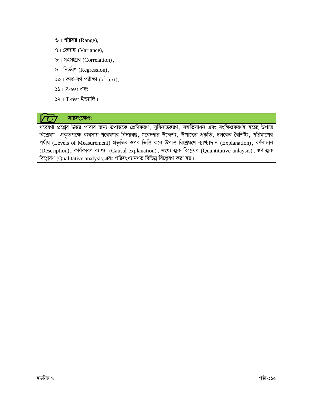- ৬। পরিসর (Range),
- ৭। ভেদাঙ্ক (Variance),
- ৮। সহসংশ্রব (Correlation),
- ৯। নির্ভরণ (Regression),
- ১০। কাই-বৰ্গ পরীক্ষা  $(x^2$ -text),
- $55 + Z-test$  এবং
- $\sqrt{2}$ । T-test ইত্যাদি।

#### সারসংক্ষেপ:  $\overline{C}$

গবেষণা প্রশ্নের উত্তর পাবার জন্য উপাত্তকে শ্রেণিকরণ, সুবিন্যস্তকরণ, সঙ্গতিসাধন এবং সংক্ষিপ্তকরণই হচ্ছে উপাত্ত বিশ্লেষণ। প্রকৃতপক্ষে ব্যবসায় গবেষণার বিষয়বস্তু, গবেষণার উদ্দেশ্য, উপাত্তের প্রকৃতি, চলকের বৈশিষ্ট্য, পরিমাপের পর্যায় (Levels of Measurement) প্রভৃতির ওপর ভিত্তি করে উপাত্ত বিশ্লেষণে ব্যাখ্যাদান (Explanation), বর্ণনাদান (Description), কাৰ্যকারণ ব্যাখ্যা (Causal explanation), সংখ্যাত্মক বিশ্লেষণ (Quantitative anlaysis), গুণাত্মক বিশ্লেষণ (Qualitative analysis)এবং পরিসংখ্যানগত বিভিন্ন বিশ্লেষণ করা হয়।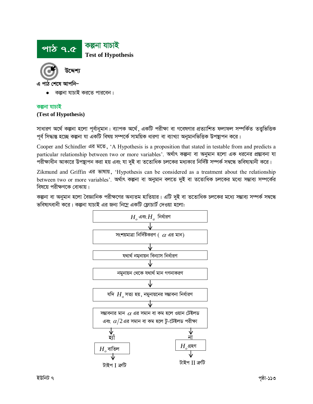

এ পাঠ শেষে আপনি–

কল্পনা যাচাই করতে পারবেন।

#### কল্পনা যাচাই

#### (Test of Hypothesis)

সাধারণ অর্থে কল্পনা হলো পূর্বানুমান। ব্যাপক অর্থে, একটি পরীক্ষা বা গবেষণার প্রত্যাশিত ফলাফল সম্পর্কিত তত্ত্বভিত্তিক পূর্ব সিদ্ধান্ত হচ্ছে কল্পনা যা একটি বিষয় সম্পর্কে সাময়িক ধারণা বা ব্যাখ্যা অনুমানভিত্তিক উপস্থাপন করে।

Cooper and Schindler এর মতে, 'A Hypothesis is a proposition that stated in testable from and predicts a particular relationship between two or more variables'. অৰ্থাৎ কল্পনা বা অনুমান হলো এক ধরনের প্রস্তাবনা যা পরীক্ষাধীন আকারে উপস্থাপন করা হয় এবং যা দুই বা ততোধিক চলকের মধ্যকার নির্দিষ্ট সম্পর্ক সম্বন্ধে ভবিষ্যদ্বানী করে।

Zikmund and Griffin এর ভাষায়, 'Hypothesis can be considered as a treatment about the relationship between two or more variables'. অর্থাৎ কল্পনা বা অনুমান বলতে দুই বা ততোধিক চলকের মধ্যে সম্ভাব্য সম্পর্কের বিষয়ে পরীক্ষণকে বোঝায়।

কল্পনা বা অনুমান হলো বৈজ্ঞানিক পরীক্ষণের অন্যতম হাতিয়ার। এটি দুই বা ততোধিক চলকের মধ্যে সম্ভাব্য সম্পর্ক সম্বন্ধে ভবিষ্যৎবানী করে। কল্পনা যাচাই এর জন্য নিম্নে একটি ফ্লোচার্ট দেওয়া হলো:

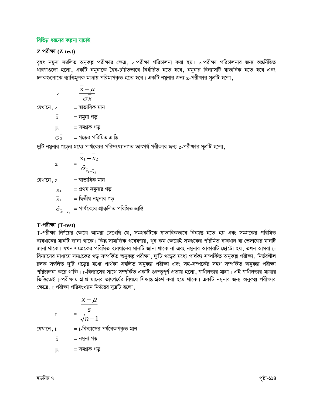### বিভিন্ন ধরনের কল্পনা যাচাই

### $Z$ -পরীক্ষা ( $Z$ -test)

বৃহৎ নমুনা সম্বলিত অনুকল্প পরীক্ষার ক্ষেত্র, z-পরীক্ষা পরিচালনা করা হয়। z-পরীক্ষা পরিচালনার জন্য অন্তর্নিহিত ধারণাগুলো হলো, একটি নমুনাকে দ্বৈব-চয়িতভাবে নির্ধারিত হতে হবে, নমুনার বিন্যাসটি শ্বাভাবিক হতে হবে এবং চলকগুলোকে ব্যাপ্তিমূলক মাত্রায় পরিমাপকৃত হতে হবে। একটি নমুনার জন্য  $z$ -পরীক্ষার সূত্রটি হলো,

$$
z = \frac{\overline{x} - \mu}{\sigma x}
$$
\n
$$
z = \frac{\overline{x} - \mu}{\sigma x}
$$
\n
$$
\overline{x} = \overline{x}
$$
\n
$$
\mu = \overline{x}
$$
\n
$$
\sigma \overline{x} = \pi \overline{x}
$$
\n
$$
\sigma \overline{x} = \pi \overline{x}
$$
\n
$$
\sigma \overline{x} = \pi \overline{x}
$$
\n
$$
\sigma \overline{x} = \pi \overline{x}
$$

দুটি নমুনার গড়ের মধ্যে পার্থক্যের পরিসংখ্যানগত তাৎপর্য পরীক্ষার জন্য  $z$ -পরীক্ষার সূত্রটি হলো,

$$
z = \frac{\overline{x}_1 - \overline{x}_2}{\hat{\sigma}_{\overline{x}_1 - \overline{x}_2}}
$$

যেখানে,  $z = \overline{z}$  ৰাভাবিক মান

 $\bar{x}_1 = 2$ থম নমুনার গড়

 $\frac{-}{x_2}$ = দ্বিতীয় নমুনার গড়

 $\hat{\sigma}_{\scriptscriptstyle{\overline{x}}_1-\overline{x}_2}=\stackrel{}{\text{diag}}$ ৰ্যাৰ্থক্যের প্রাক্কলিত পরিমিত ভ্রান্তি

## $T-$ পরীক্ষা  $(T-test)$

 $t$ 

T-পরীক্ষা নির্ণয়ের ক্ষেত্রে আমরা দেখেছি যে, সমগ্রকটিকে স্বাভাবিকভাবে বিন্যান্ত হতে হয় এবং সমগ্রকের পরিমিত ব্যবধানের মানটি জানা থাকে। কিন্তু সামাজিক গবেষণায়, খুব কম ক্ষেত্রেই সমগ্রকের পরিমিত ব্যবধান বা ভেদাঙ্কের মানটি জানা থাকে। যখন সমগ্রকের পরিমিত ব্যবধানের মানটি জানা থাকে না এবং নমুনার আকারটি ছোটো হয়, তখন আমরা t-বিন্যাসের মাধ্যমে সমগ্রকের গড় সম্পর্কিত অনুকল্প পরীক্ষা, দু'টি গড়ের মধ্যে পার্থক্য সম্পর্কিত অনুকল্প পরীক্ষা, নির্ভরশীল চলক সম্বলিত দুটি গড়ের মধ্যে পার্থক্য সম্বলিত অনুকল্প পরীক্ষা এবং সহ-সম্পর্কের সহগ সম্পর্কিত অনুকল্প পরীক্ষা পরিচালনা করে থাকি। t-বিন্যাসের সাথে সম্পর্কিত একটি গুরুত্বপূর্ণ প্রত্যয় হলো, শ্বাধীনতার মাত্রা। এই শ্বাধীনতার মাত্রার ভিত্তিতেই t-পরীক্ষায় প্রাপ্ত মানের তাৎপর্যের বিষয়ে সিদ্ধান্ত গ্রহণ করা হয়ে থাকে। একটি নমুনার জন্য অনুকল্প পরীক্ষার ক্ষেত্রে, t-পরীক্ষা পরিসংখ্যান নির্ণয়ের সুত্রটি হলো,

$$
\frac{x-\mu}{s} = \frac{s}{\sqrt{n-1}}
$$

= t-বিন্যাসের পর্যবেক্ষণকৃত মান যেখানে, t

$$
\overline{x} = \overline{\mathbf{a}}
$$
 স্মুনা গড়

 $=$  সমগ্ৰক গড়  $\mu$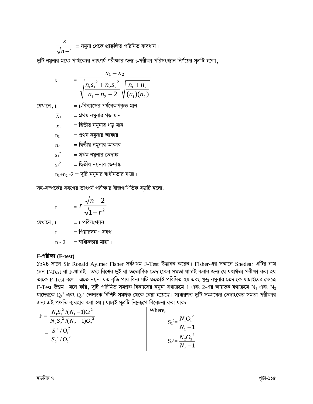$$
\frac{s}{\sqrt{n-1}}
$$
 = নমুনা থেকে প্রাক্কলিত পরিমিত ব্যবধান।

দুটি নমুনার মধ্যে পার্থক্যের তাৎপর্য পরীক্ষার জন্য t-পরীক্ষা পরিসংখ্যান নির্ণয়ের সূত্রটি হলো,

t = 
$$
\frac{\overline{x}_1 - \overline{x}_2}{\sqrt{\frac{n_1 s_1^2 + n_2 s_2^2}{n_1 + n_2 - 2}} \sqrt{\frac{n_1 + n_2}{(n_1)(n_2)}}}
$$

 $=$   $t$ -বিন্যাসের পর্যবেক্ষণকৃত মান যেখানে, t

> $=$  প্রথম নমুনার গড় মান  $\overline{x}_1$

 $\frac{-}{x_2}$ = দ্বিতীয় নমুনার গড় মান

- = প্রথম নমুনার আকার  $n_1$
- = দ্বিতীয় নমুনার আকার  $n<sub>2</sub>$
- = প্রথম নমুনার ভেদাঙ্ক  $s_1^2$
- = দ্বিতীয় নমুনার ভেদাঙ্ক  $s^2$

 $n_1+n_2-2 = \frac{1}{2}$ টি নমুনার স্বাধীনতার মাত্রা।

সহ-সম্পর্কের সহগের তাৎপর্য পরীক্ষার বীজগাণিতিক সূত্রটি হলো,

$$
t = r \frac{\sqrt{n-2}}{\sqrt{1-r^2}}
$$

যেখানে, t

$$
= t - \gamma \widehat{\mathsf{R}} \eta \mathsf{R} \mathsf{R} \mathsf{R} \eta \mathsf{R}
$$

 $=$  পিয়ারসন  $r$  সহগ  $\mathbf{r}$ 

 $n - 2 = 3$ য়াধীনতার মাত্রা।

#### $F$ -পরীক্ষা  $(F-test)$

১৯২৪ সালে Sir Ronald Aylmer Fisher সর্বপ্রথম F-Test উদ্ভাবন করেন। Fisher-এর সম্মানে Snedear এটির নাম দেন F-Test বা F-যাচাই। তথ্য বিশ্বের দুই বা ততোধিক ভেদাংকের সমতা যাচাই করার জন্য যে যথার্থতা পরীক্ষা করা হয় তাকে F-Test বলে। এতে নমুনা যত বৃদ্ধি পায় বিন্যাসটি ততোই পরিমিত হয় এবং ক্ষুদ্র নমুনার ভেদাংক যাচাইয়ের ক্ষেত্রে  $F-Test$  উত্তম। মনে করি, দুটি পরিমিত সমগ্রক বিন্যাসের নমুনা যখাক্রমে  $1$  এবং 2-এর আয়তন যথাক্রমে  $N_1$  এবং  $N_2$ যাদেরকে  $\mathbf{Q}_1{}^2$  এবং  $\mathbf{Q}_2{}^2$  ভেদাংক বিশিষ্ট সমগ্রক থেকে নেয়া হয়েছে। সাধারণত দুটি সমগ্রকের ভেদাংকের সমতা পরীক্ষার জন্য এই পদ্ধতি ব্যবহার করা হয়। যাচাই সূত্রটি নিম্নরূপে বিবেচনা করা যাক:

$$
F = \frac{N_1 S_1^2 / (N_1 - 1) O_1^2}{N_2 S_2^2 / (N_2 - 1) O_2^2}
$$
  
=  $\frac{S_1^2 / O_1^2}{S_2^2 / O_2^2}$   

$$
S_1^2 = \frac{N_1 O_1^2}{N_1 - 1}
$$
  

$$
S_2^2 = \frac{N_2 O_2^2}{N_2 - 1}
$$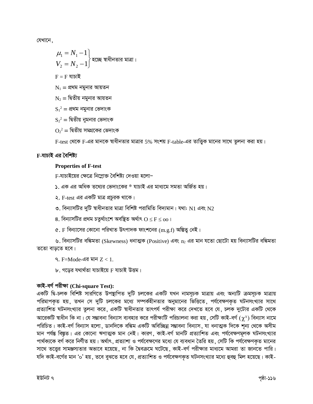যেখানে.

$$
\mu_1 = N_1 - 1
$$
\n
$$
V_2 = N_2 - 1
$$
\n
$$
F = F
$$
 যাচাই
$$
N_1 = \text{Cov} \times \text{Cov} \times \text{Cov}
$$
\n
$$
N_2 = \text{Cov} \times \text{Cov} \times \text{Cov}
$$
\n
$$
N_2 = \text{Cov} \times \text{Cov} \times \text{Cov}
$$
\n
$$
S_1^2 = \text{Cov} \times \text{Cov} \times \text{Cov}
$$
\n
$$
S_2^2 = \text{Cov} \times \text{Cov} \times \text{Cov}
$$

 $O_2^2$  = দ্বিতীয় সমগ্রকের ভেদাংক

F-test থেকে F-এর মানকে স্বাধীনতার মাত্রার 5% সংশয় F-table-এর তাত্ত্বিক মানের সাথে তুলনা করা হয়।

### F-যাচাই এর বৈশিষ্ট্য

### **Properties of F-test**

F-যাচাইয়ের ক্ষেত্রে নিম্নোক্ত বৈশিষ্ট্য দেওয়া হলো–

- ১. এক এর অধিক তথ্যের ভেদাংকের \* যাচাই এর মাধ্যমে সমতা অর্জিত হয়।
- ২. F-test এর একটি মাত্র প্রচুরক থাকে।
- ৩. বিন্যাসটির দুটি স্বাধীনতার মাত্রা বিশিষ্ট পরামিতি বিদ্যমান। যথা:  $\rm N1$  এবং  $\rm N2$
- ৪. বিন্যাসটির প্রথম চতুর্থাংশে অবষ্টিত অর্থাৎ  $\mathrm{O} \leq \mathrm{F} \leq \mathrm{oo}$ ।
- ৫. F বিন্যাসের কোনো পরিখাত উৎপাদক ফাংশনের  $(m,g,f)$  অস্তিত্ব নেই।

৬. বিন্যাসটির বঙ্কিমতা (Skewness) ধনাত্মক (Positive) এবং  $\mathrm{n}_2$  এর মান যতো ছোটো হয় বিন্যাসটির বঙ্কিমতা ততো বাড়তে হবে।

৭. F=Mode-এর মান  $Z < 1$ .

৮. গড়ের যথার্থতা যাচাইয়ে F যাচাই উত্তম।

# কাই-বৰ্গ পরীক্ষা (Chi-square Test):

একটি দ্বি-চলক বিশিষ্ট সারণিতে উপস্থাপিত দুটি চলকের একটি যখন নামসূচক মাত্রায় এবং অন্যটি ক্রমসূচক মাত্রায় পরিমাপকৃত হয়, তখন সে দুটি চলকের মধ্যে সম্পর্কহীনতার অনুমানের ভিত্তিতে, পর্যবেক্ষণকৃত ঘটনসংখ্যার সাথে প্রত্যাশিত ঘটনসংখ্যার তুলনা করে, একটি স্বাধীনতার তাৎপর্য পরীক্ষা করে দেখতে হবে যে, চলক দুটোর একটি থেকে আরেকটি স্বাধীন কি না। যে সম্ভাবনা বিন্যাস ব্যবহার করে পরীক্ষাটি পরিচালনা করা হয়, সেটি কাই-বর্গ ( $\chi^{\text{s}}$ ) বিন্যাস নামে পরিচিত। কাই-বর্গ বিন্যাস হলো, ডানদিকে বঙ্কিম একটি অবিচ্ছিন্ন সম্ভাবনা বিন্যাস, যা ধনাত্মক দিকে শূন্য থেকে অসীম মান পর্যন্ত বিষ্ণুত। এর কোনো ঋণাত্মক মান নেই। কারণ, কাই-বর্গ মানটি প্রত্যাশিত এবং পর্যবেক্ষণমূলক ঘটনসংখ্যার পার্থক্যকে বর্গ করে নির্ণীত হয়। অর্থাৎ, প্রত্যাশা ও পর্যবেক্ষণের মধ্যে যে ব্যবধান তৈরি হয়, সেটি কি পর্যবেক্ষণকৃত মানের সাথে তত্ত্বের সামঞ্জস্যতার অভাবে হয়েছে, না কি দ্বৈবক্রমে ঘটেছে, কাই-বর্গ পরীক্ষার মাধ্যমে আমরা তা জানতে পারি। যদি কাই-বর্গের মান '০' হয়, তবে বুঝতে হবে যে, প্রত্যাশিত ও পর্যবেক্ষণকৃত ঘটনসংখ্যার মধ্যে হুবহু মিল হয়েছে। কাই-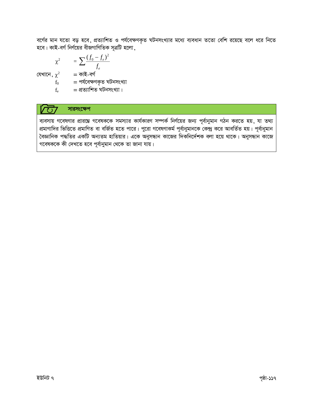বর্গের মান যতো বড় হবে, প্রত্যাশিত ও পর্যবেক্ষণকৃত ঘটনসংখ্যার মধ্যে ব্যবধান ততো বেশি রয়েছে বলে ধরে নিতে হবে। কাই-বর্গ নির্ণয়ের বীজগাণিতিক সূত্রটি হলো,

$$
\chi^2 = \sum \frac{(f_0 - f_e)^2}{f_e}
$$

যেখানে,  $\chi^2$  = কাই-বৰ্গ

 $f_0 = 2$ র্গবেক্ষণকৃত ঘটনসংখ্যা<br> $f_e = 2$ ত্যাশিত ঘটনসংখ্যা।

#### সারসংক্ষেপ  $\overline{C}$

ব্যবসায় গবেষণার প্রারম্ভে গবেষককে সমস্যার কার্যকারণ সম্পর্ক নির্ণয়ের জন্য পূর্বানুমান গঠন করতে হয়, যা তথ্য প্রমাণাদির ভিত্তিতে প্রমাণিত বা বর্জিত হতে পারে। পুরো গবেষণাকর্ম পূর্বানুমানকে কেন্দ্র করে আবর্তিত হয়। পূর্বানুমান বৈজ্ঞানিক পদ্ধতির একটি অন্যতম হাতিয়ার। একে অনুসন্ধান কাজের দিকনির্দেশক বলা হয়ে থাকে। অনুসন্ধান কাজে গবেষককে কী দেখতে হবে পূর্বানুমান থেকে তা জানা যায়।